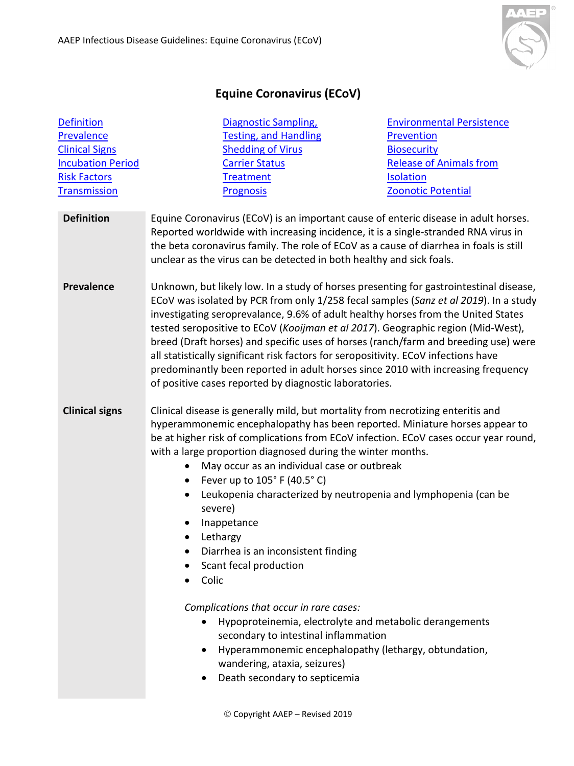

## **Equine Coronavirus (ECoV)**

<span id="page-0-2"></span><span id="page-0-1"></span><span id="page-0-0"></span>

| <b>Definition</b>        | Diagnostic Sampling,                                                                                                                                                                                                                                                                                                                                                                                                                                                                                                                                                                                                                                                                | <b>Environmental Persistence</b>                                                                                                                                                                                                                                            |
|--------------------------|-------------------------------------------------------------------------------------------------------------------------------------------------------------------------------------------------------------------------------------------------------------------------------------------------------------------------------------------------------------------------------------------------------------------------------------------------------------------------------------------------------------------------------------------------------------------------------------------------------------------------------------------------------------------------------------|-----------------------------------------------------------------------------------------------------------------------------------------------------------------------------------------------------------------------------------------------------------------------------|
| Prevalence               | <b>Testing, and Handling</b>                                                                                                                                                                                                                                                                                                                                                                                                                                                                                                                                                                                                                                                        | Prevention                                                                                                                                                                                                                                                                  |
| <b>Clinical Signs</b>    | <b>Shedding of Virus</b>                                                                                                                                                                                                                                                                                                                                                                                                                                                                                                                                                                                                                                                            | <b>Biosecurity</b>                                                                                                                                                                                                                                                          |
| <b>Incubation Period</b> | <b>Carrier Status</b>                                                                                                                                                                                                                                                                                                                                                                                                                                                                                                                                                                                                                                                               | <b>Release of Animals from</b>                                                                                                                                                                                                                                              |
| <b>Risk Factors</b>      | <b>Treatment</b>                                                                                                                                                                                                                                                                                                                                                                                                                                                                                                                                                                                                                                                                    | <b>Isolation</b>                                                                                                                                                                                                                                                            |
| <b>Transmission</b>      | <b>Prognosis</b>                                                                                                                                                                                                                                                                                                                                                                                                                                                                                                                                                                                                                                                                    | <b>Zoonotic Potential</b>                                                                                                                                                                                                                                                   |
| <b>Definition</b>        | Equine Coronavirus (ECoV) is an important cause of enteric disease in adult horses.<br>Reported worldwide with increasing incidence, it is a single-stranded RNA virus in<br>the beta coronavirus family. The role of ECoV as a cause of diarrhea in foals is still<br>unclear as the virus can be detected in both healthy and sick foals.                                                                                                                                                                                                                                                                                                                                         |                                                                                                                                                                                                                                                                             |
| <b>Prevalence</b>        | Unknown, but likely low. In a study of horses presenting for gastrointestinal disease,<br>ECoV was isolated by PCR from only 1/258 fecal samples (Sanz et al 2019). In a study<br>investigating seroprevalance, 9.6% of adult healthy horses from the United States<br>tested seropositive to ECoV (Kooijman et al 2017). Geographic region (Mid-West),<br>breed (Draft horses) and specific uses of horses (ranch/farm and breeding use) were<br>all statistically significant risk factors for seropositivity. ECoV infections have<br>predominantly been reported in adult horses since 2010 with increasing frequency<br>of positive cases reported by diagnostic laboratories. |                                                                                                                                                                                                                                                                             |
| <b>Clinical signs</b>    | Clinical disease is generally mild, but mortality from necrotizing enteritis and<br>hyperammonemic encephalopathy has been reported. Miniature horses appear to<br>with a large proportion diagnosed during the winter months.<br>May occur as an individual case or outbreak<br>$\bullet$<br>Fever up to 105° F (40.5° C)<br>$\bullet$<br>severe)<br>Inappetance<br>Lethargy<br>Diarrhea is an inconsistent finding<br>Scant fecal production<br>Colic<br>Complications that occur in rare cases:<br>secondary to intestinal inflammation<br>٠<br>wandering, ataxia, seizures)<br>Death secondary to septicemia                                                                    | be at higher risk of complications from ECoV infection. ECoV cases occur year round,<br>Leukopenia characterized by neutropenia and lymphopenia (can be<br>Hypoproteinemia, electrolyte and metabolic derangements<br>Hyperammonemic encephalopathy (lethargy, obtundation, |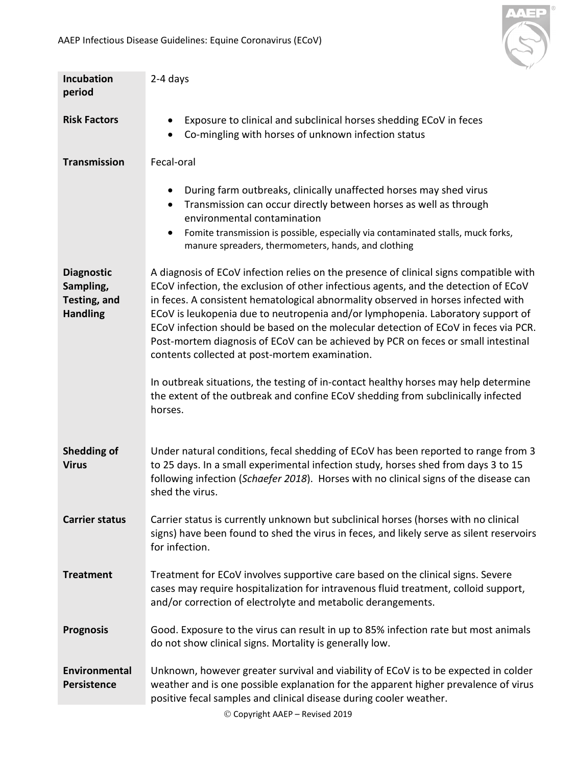

<span id="page-1-8"></span><span id="page-1-7"></span><span id="page-1-6"></span><span id="page-1-5"></span><span id="page-1-4"></span><span id="page-1-3"></span><span id="page-1-2"></span><span id="page-1-1"></span><span id="page-1-0"></span>

| <b>Incubation</b><br>period                                       | 2-4 days                                                                                                                                                                                                                                                                                                                                                                                                                                                                                                                                                                            |  |
|-------------------------------------------------------------------|-------------------------------------------------------------------------------------------------------------------------------------------------------------------------------------------------------------------------------------------------------------------------------------------------------------------------------------------------------------------------------------------------------------------------------------------------------------------------------------------------------------------------------------------------------------------------------------|--|
| <b>Risk Factors</b>                                               | Exposure to clinical and subclinical horses shedding ECoV in feces<br>$\bullet$<br>Co-mingling with horses of unknown infection status                                                                                                                                                                                                                                                                                                                                                                                                                                              |  |
| <b>Transmission</b>                                               | Fecal-oral                                                                                                                                                                                                                                                                                                                                                                                                                                                                                                                                                                          |  |
|                                                                   | During farm outbreaks, clinically unaffected horses may shed virus<br>$\bullet$<br>Transmission can occur directly between horses as well as through<br>$\bullet$<br>environmental contamination<br>Fomite transmission is possible, especially via contaminated stalls, muck forks,<br>$\bullet$<br>manure spreaders, thermometers, hands, and clothing                                                                                                                                                                                                                            |  |
| <b>Diagnostic</b><br>Sampling,<br>Testing, and<br><b>Handling</b> | A diagnosis of ECoV infection relies on the presence of clinical signs compatible with<br>ECoV infection, the exclusion of other infectious agents, and the detection of ECoV<br>in feces. A consistent hematological abnormality observed in horses infected with<br>ECoV is leukopenia due to neutropenia and/or lymphopenia. Laboratory support of<br>ECOV infection should be based on the molecular detection of ECOV in feces via PCR.<br>Post-mortem diagnosis of ECoV can be achieved by PCR on feces or small intestinal<br>contents collected at post-mortem examination. |  |
|                                                                   | In outbreak situations, the testing of in-contact healthy horses may help determine<br>the extent of the outbreak and confine ECoV shedding from subclinically infected<br>horses.                                                                                                                                                                                                                                                                                                                                                                                                  |  |
| <b>Shedding of</b><br><b>Virus</b>                                | Under natural conditions, fecal shedding of ECoV has been reported to range from 3<br>to 25 days. In a small experimental infection study, horses shed from days 3 to 15<br>following infection (Schaefer 2018). Horses with no clinical signs of the disease can<br>shed the virus.                                                                                                                                                                                                                                                                                                |  |
| <b>Carrier status</b>                                             | Carrier status is currently unknown but subclinical horses (horses with no clinical<br>signs) have been found to shed the virus in feces, and likely serve as silent reservoirs<br>for infection.                                                                                                                                                                                                                                                                                                                                                                                   |  |
| <b>Treatment</b>                                                  | Treatment for ECoV involves supportive care based on the clinical signs. Severe<br>cases may require hospitalization for intravenous fluid treatment, colloid support,<br>and/or correction of electrolyte and metabolic derangements.                                                                                                                                                                                                                                                                                                                                              |  |
| <b>Prognosis</b>                                                  | Good. Exposure to the virus can result in up to 85% infection rate but most animals<br>do not show clinical signs. Mortality is generally low.                                                                                                                                                                                                                                                                                                                                                                                                                                      |  |
| Environmental<br><b>Persistence</b>                               | Unknown, however greater survival and viability of ECoV is to be expected in colder<br>weather and is one possible explanation for the apparent higher prevalence of virus<br>positive fecal samples and clinical disease during cooler weather.                                                                                                                                                                                                                                                                                                                                    |  |